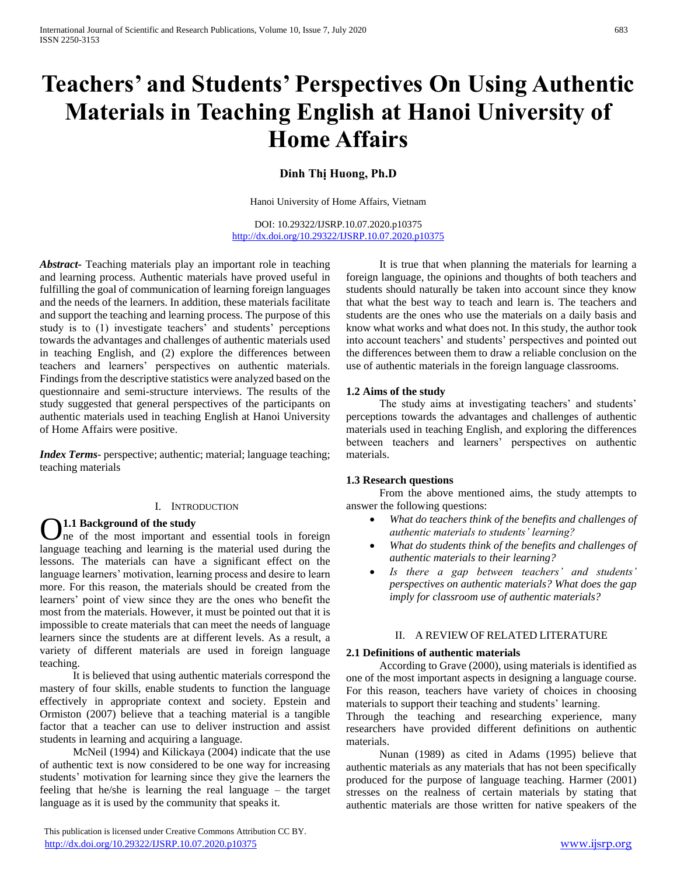# **Teachers' and Students' Perspectives On Using Authentic Materials in Teaching English at Hanoi University of Home Affairs**

# **Dinh Thị Huong, Ph.D**

Hanoi University of Home Affairs, Vietnam

DOI: 10.29322/IJSRP.10.07.2020.p10375 <http://dx.doi.org/10.29322/IJSRP.10.07.2020.p10375>

*Abstract***-** Teaching materials play an important role in teaching and learning process. Authentic materials have proved useful in fulfilling the goal of communication of learning foreign languages and the needs of the learners. In addition, these materials facilitate and support the teaching and learning process. The purpose of this study is to (1) investigate teachers' and students' perceptions towards the advantages and challenges of authentic materials used in teaching English, and (2) explore the differences between teachers and learners' perspectives on authentic materials. Findings from the descriptive statistics were analyzed based on the questionnaire and semi-structure interviews. The results of the study suggested that general perspectives of the participants on authentic materials used in teaching English at Hanoi University of Home Affairs were positive.

*Index Terms*- perspective; authentic; material; language teaching; teaching materials

# I. INTRODUCTION

## **1.1 Background of the study**

ne of the most important and essential tools in foreign **1.1 Background of the study**<br>language teaching and learning is the material used during the<br>language teaching and learning is the material used during the lessons. The materials can have a significant effect on the language learners' motivation, learning process and desire to learn more. For this reason, the materials should be created from the learners' point of view since they are the ones who benefit the most from the materials. However, it must be pointed out that it is impossible to create materials that can meet the needs of language learners since the students are at different levels. As a result, a variety of different materials are used in foreign language teaching.

 It is believed that using authentic materials correspond the mastery of four skills, enable students to function the language effectively in appropriate context and society. Epstein and Ormiston (2007) believe that a teaching material is a tangible factor that a teacher can use to deliver instruction and assist students in learning and acquiring a language.

 McNeil (1994) and Kilickaya (2004) indicate that the use of authentic text is now considered to be one way for increasing students' motivation for learning since they give the learners the feeling that he/she is learning the real language – the target language as it is used by the community that speaks it.

 This publication is licensed under Creative Commons Attribution CC BY. <http://dx.doi.org/10.29322/IJSRP.10.07.2020.p10375> [www.ijsrp.org](http://ijsrp.org/)

 It is true that when planning the materials for learning a foreign language, the opinions and thoughts of both teachers and students should naturally be taken into account since they know that what the best way to teach and learn is. The teachers and students are the ones who use the materials on a daily basis and know what works and what does not. In this study, the author took into account teachers' and students' perspectives and pointed out the differences between them to draw a reliable conclusion on the use of authentic materials in the foreign language classrooms.

#### **1.2 Aims of the study**

 The study aims at investigating teachers' and students' perceptions towards the advantages and challenges of authentic materials used in teaching English, and exploring the differences between teachers and learners' perspectives on authentic materials.

### **1.3 Research questions**

 From the above mentioned aims, the study attempts to answer the following questions:

- *What do teachers think of the benefits and challenges of authentic materials to students' learning?*
- *What do students think of the benefits and challenges of authentic materials to their learning?*
- *Is there a gap between teachers' and students' perspectives on authentic materials? What does the gap imply for classroom use of authentic materials?*

#### II. A REVIEW OF RELATED LITERATURE

#### **2.1 Definitions of authentic materials**

 According to Grave (2000), using materials is identified as one of the most important aspects in designing a language course. For this reason, teachers have variety of choices in choosing materials to support their teaching and students' learning.

Through the teaching and researching experience, many researchers have provided different definitions on authentic materials.

 Nunan (1989) as cited in Adams (1995) believe that authentic materials as any materials that has not been specifically produced for the purpose of language teaching. Harmer (2001) stresses on the realness of certain materials by stating that authentic materials are those written for native speakers of the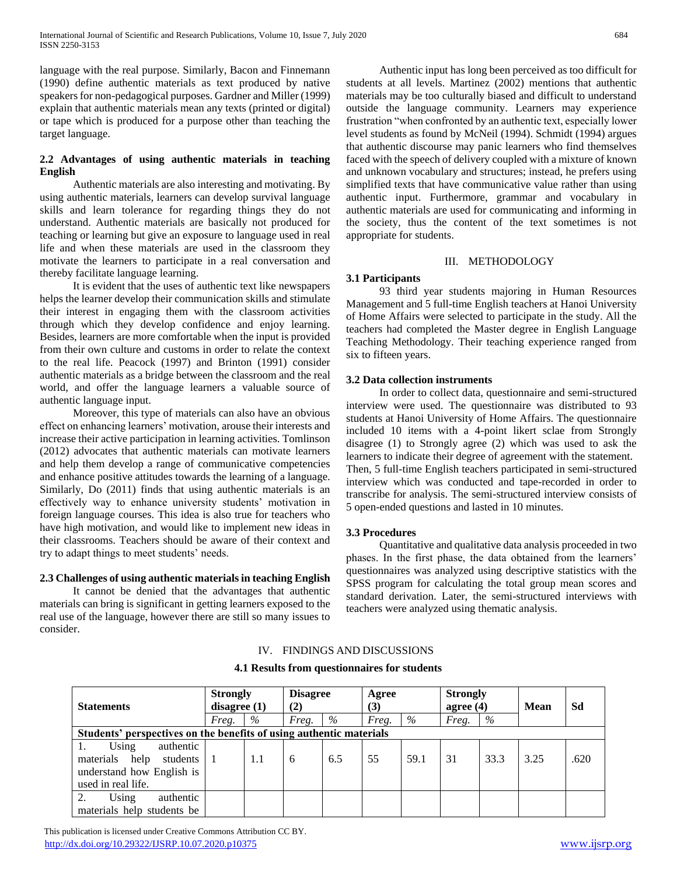language with the real purpose. Similarly, Bacon and Finnemann (1990) define authentic materials as text produced by native speakers for non-pedagogical purposes. Gardner and Miller (1999) explain that authentic materials mean any texts (printed or digital) or tape which is produced for a purpose other than teaching the target language.

# **2.2 Advantages of using authentic materials in teaching English**

 Authentic materials are also interesting and motivating. By using authentic materials, learners can develop survival language skills and learn tolerance for regarding things they do not understand. Authentic materials are basically not produced for teaching or learning but give an exposure to language used in real life and when these materials are used in the classroom they motivate the learners to participate in a real conversation and thereby facilitate language learning.

 It is evident that the uses of authentic text like newspapers helps the learner develop their communication skills and stimulate their interest in engaging them with the classroom activities through which they develop confidence and enjoy learning. Besides, learners are more comfortable when the input is provided from their own culture and customs in order to relate the context to the real life. Peacock (1997) and Brinton (1991) consider authentic materials as a bridge between the classroom and the real world, and offer the language learners a valuable source of authentic language input.

 Moreover, this type of materials can also have an obvious effect on enhancing learners' motivation, arouse their interests and increase their active participation in learning activities. Tomlinson (2012) advocates that authentic materials can motivate learners and help them develop a range of communicative competencies and enhance positive attitudes towards the learning of a language. Similarly, Do (2011) finds that using authentic materials is an effectively way to enhance university students' motivation in foreign language courses. This idea is also true for teachers who have high motivation, and would like to implement new ideas in their classrooms. Teachers should be aware of their context and try to adapt things to meet students' needs.

### **2.3 Challenges of using authentic materials in teaching English**

 It cannot be denied that the advantages that authentic materials can bring is significant in getting learners exposed to the real use of the language, however there are still so many issues to consider.

 Authentic input has long been perceived as too difficult for students at all levels. Martinez (2002) mentions that authentic materials may be too culturally biased and difficult to understand outside the language community. Learners may experience frustration "when confronted by an authentic text, especially lower level students as found by McNeil (1994). Schmidt (1994) argues that authentic discourse may panic learners who find themselves faced with the speech of delivery coupled with a mixture of known and unknown vocabulary and structures; instead, he prefers using simplified texts that have communicative value rather than using authentic input. Furthermore, grammar and vocabulary in authentic materials are used for communicating and informing in the society, thus the content of the text sometimes is not appropriate for students.

# III. METHODOLOGY

## **3.1 Participants**

 93 third year students majoring in Human Resources Management and 5 full-time English teachers at Hanoi University of Home Affairs were selected to participate in the study. All the teachers had completed the Master degree in English Language Teaching Methodology. Their teaching experience ranged from six to fifteen years.

## **3.2 Data collection instruments**

 In order to collect data, questionnaire and semi-structured interview were used. The questionnaire was distributed to 93 students at Hanoi University of Home Affairs. The questionnaire included 10 items with a 4-point likert sclae from Strongly disagree (1) to Strongly agree (2) which was used to ask the learners to indicate their degree of agreement with the statement. Then, 5 full-time English teachers participated in semi-structured interview which was conducted and tape-recorded in order to transcribe for analysis. The semi-structured interview consists of 5 open-ended questions and lasted in 10 minutes.

## **3.3 Procedures**

 Quantitative and qualitative data analysis proceeded in two phases. In the first phase, the data obtained from the learners' questionnaires was analyzed using descriptive statistics with the SPSS program for calculating the total group mean scores and standard derivation. Later, the semi-structured interviews with teachers were analyzed using thematic analysis.

# IV. FINDINGS AND DISCUSSIONS

# **4.1 Results from questionnaires for students**

| <b>Statements</b>                                                   | <b>Strongly</b><br>disagree $(1)$ |      | <b>Disagree</b><br>(2) |     | Agree<br>(3) |      | <b>Strongly</b><br>agree $(4)$ |      | <b>Mean</b> | Sd   |
|---------------------------------------------------------------------|-----------------------------------|------|------------------------|-----|--------------|------|--------------------------------|------|-------------|------|
|                                                                     | Freg.                             | $\%$ | Freg.                  | %   | Freg.        | $\%$ | Freg.                          | $\%$ |             |      |
| Students' perspectives on the benefits of using authentic materials |                                   |      |                        |     |              |      |                                |      |             |      |
| authentic<br>Using                                                  |                                   |      |                        |     |              |      |                                |      |             |      |
| materials help<br>students                                          |                                   | 1.1  | 6                      | 6.5 | 55           | 59.1 | 31                             | 33.3 | 3.25        | .620 |
| understand how English is                                           |                                   |      |                        |     |              |      |                                |      |             |      |
| used in real life.                                                  |                                   |      |                        |     |              |      |                                |      |             |      |
| Using<br>authentic                                                  |                                   |      |                        |     |              |      |                                |      |             |      |
| materials help students be                                          |                                   |      |                        |     |              |      |                                |      |             |      |

 This publication is licensed under Creative Commons Attribution CC BY. <http://dx.doi.org/10.29322/IJSRP.10.07.2020.p10375> [www.ijsrp.org](http://ijsrp.org/)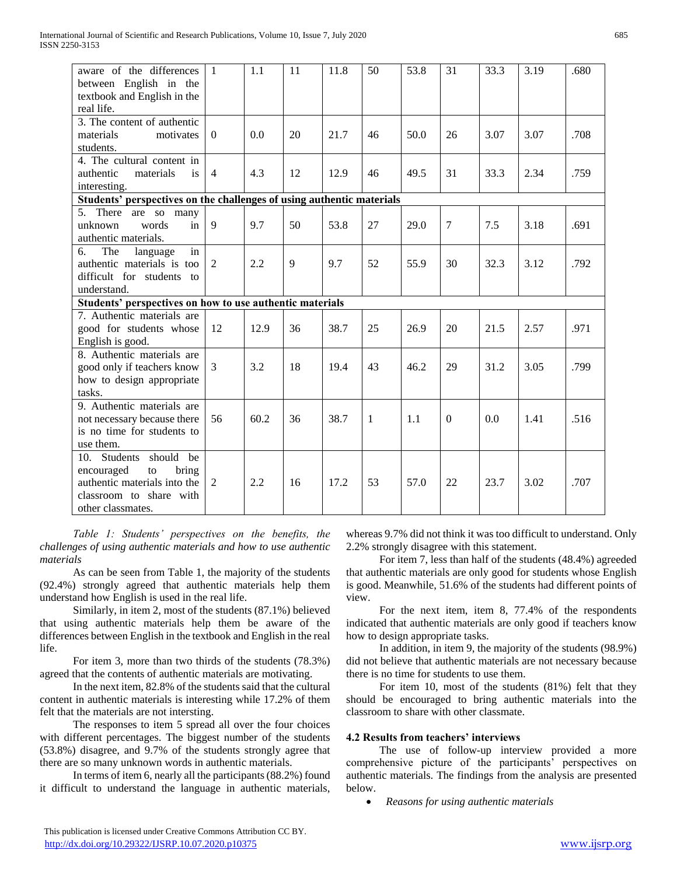| aware of the differences<br>between English in the                    | $\mathbf{1}$   | 1.1  | 11           | 11.8 | 50           | 53.8 | 31             | 33.3 | 3.19 | .680 |
|-----------------------------------------------------------------------|----------------|------|--------------|------|--------------|------|----------------|------|------|------|
| textbook and English in the                                           |                |      |              |      |              |      |                |      |      |      |
| real life.                                                            |                |      |              |      |              |      |                |      |      |      |
| 3. The content of authentic                                           |                |      |              |      |              |      |                |      |      |      |
| materials<br>motivates                                                | $\theta$       | 0.0  | 20           | 21.7 | 46           | 50.0 | 26             | 3.07 | 3.07 | .708 |
| students.                                                             |                |      |              |      |              |      |                |      |      |      |
| 4. The cultural content in                                            |                |      |              |      |              |      |                |      |      |      |
| authentic<br>materials<br>is                                          | $\overline{4}$ | 4.3  | 12           | 12.9 | 46           | 49.5 | 31             | 33.3 | 2.34 | .759 |
| interesting.                                                          |                |      |              |      |              |      |                |      |      |      |
| Students' perspectives on the challenges of using authentic materials |                |      |              |      |              |      |                |      |      |      |
| 5. There are so many                                                  |                |      |              |      |              |      |                |      |      |      |
| words<br>unknown<br>in                                                | 9              | 9.7  | 50           | 53.8 | 27           | 29.0 | $\overline{7}$ | 7.5  | 3.18 | .691 |
| authentic materials.                                                  |                |      |              |      |              |      |                |      |      |      |
| б.<br>The<br>language<br>in                                           |                |      |              |      |              |      |                |      |      |      |
| authentic materials is too                                            | $\overline{2}$ | 2.2  | $\mathbf{Q}$ | 9.7  | 52           | 55.9 | 30             | 32.3 | 3.12 | .792 |
| difficult for students<br>$\overline{t}$                              |                |      |              |      |              |      |                |      |      |      |
| understand.                                                           |                |      |              |      |              |      |                |      |      |      |
| Students' perspectives on how to use authentic materials              |                |      |              |      |              |      |                |      |      |      |
| 7. Authentic materials are                                            |                |      |              |      |              |      |                |      |      |      |
| good for students whose                                               | 12             | 12.9 | 36           | 38.7 | 25           | 26.9 | 20             | 21.5 | 2.57 | .971 |
| English is good.                                                      |                |      |              |      |              |      |                |      |      |      |
| 8. Authentic materials are                                            |                |      |              |      |              |      |                |      |      |      |
| good only if teachers know                                            | 3              | 3.2  | 18           | 19.4 | 43           | 46.2 | 29             | 31.2 | 3.05 | .799 |
| how to design appropriate                                             |                |      |              |      |              |      |                |      |      |      |
| tasks.                                                                |                |      |              |      |              |      |                |      |      |      |
| 9. Authentic materials are                                            |                |      |              |      |              |      |                |      |      |      |
| not necessary because there                                           | 56             | 60.2 | 36           | 38.7 | $\mathbf{1}$ | 1.1  | $\Omega$       | 0.0  | 1.41 | .516 |
| is no time for students to                                            |                |      |              |      |              |      |                |      |      |      |
| use them.                                                             |                |      |              |      |              |      |                |      |      |      |
| Students<br>should<br>be<br>10.                                       |                |      |              |      |              |      |                |      |      |      |
| encouraged<br>bring<br>to                                             |                |      |              |      |              |      |                |      |      |      |
| authentic materials into the                                          | $\overline{2}$ | 2.2  | 16           | 17.2 | 53           | 57.0 | 22             | 23.7 | 3.02 | .707 |
| classroom to share with                                               |                |      |              |      |              |      |                |      |      |      |
| other classmates.                                                     |                |      |              |      |              |      |                |      |      |      |

 *Table 1: Students' perspectives on the benefits, the challenges of using authentic materials and how to use authentic materials*

 As can be seen from Table 1, the majority of the students (92.4%) strongly agreed that authentic materials help them understand how English is used in the real life.

 Similarly, in item 2, most of the students (87.1%) believed that using authentic materials help them be aware of the differences between English in the textbook and English in the real life.

 For item 3, more than two thirds of the students (78.3%) agreed that the contents of authentic materials are motivating.

 In the next item, 82.8% of the students said that the cultural content in authentic materials is interesting while 17.2% of them felt that the materials are not intersting.

 The responses to item 5 spread all over the four choices with different percentages. The biggest number of the students (53.8%) disagree, and 9.7% of the students strongly agree that there are so many unknown words in authentic materials.

 In terms of item 6, nearly all the participants (88.2%) found it difficult to understand the language in authentic materials,

whereas 9.7% did not think it was too difficult to understand. Only 2.2% strongly disagree with this statement.

 For item 7, less than half of the students (48.4%) agreeded that authentic materials are only good for students whose English is good. Meanwhile, 51.6% of the students had different points of view.

 For the next item, item 8, 77.4% of the respondents indicated that authentic materials are only good if teachers know how to design appropriate tasks.

 In addition, in item 9, the majority of the students (98.9%) did not believe that authentic materials are not necessary because there is no time for students to use them.

 For item 10, most of the students (81%) felt that they should be encouraged to bring authentic materials into the classroom to share with other classmate.

# **4.2 Results from teachers' interviews**

 The use of follow-up interview provided a more comprehensive picture of the participants' perspectives on authentic materials. The findings from the analysis are presented below.

*Reasons for using authentic materials*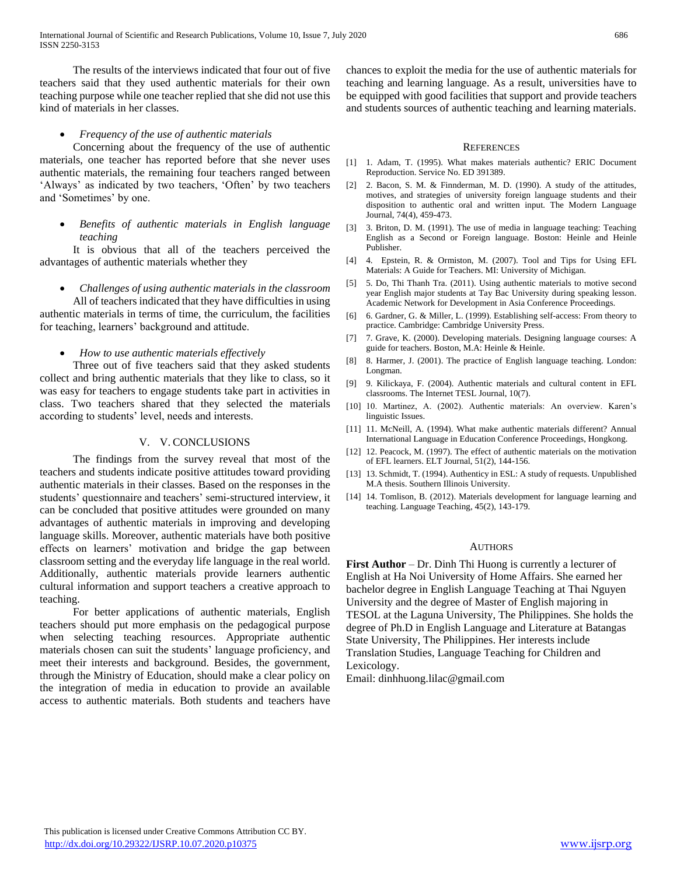The results of the interviews indicated that four out of five teachers said that they used authentic materials for their own teaching purpose while one teacher replied that she did not use this kind of materials in her classes.

### *Frequency of the use of authentic materials*

 Concerning about the frequency of the use of authentic materials, one teacher has reported before that she never uses authentic materials, the remaining four teachers ranged between 'Always' as indicated by two teachers, 'Often' by two teachers and 'Sometimes' by one.

 *Benefits of authentic materials in English language teaching*

 It is obvious that all of the teachers perceived the advantages of authentic materials whether they

*Challenges of using authentic materials in the classroom*

 All of teachers indicated that they have difficulties in using authentic materials in terms of time, the curriculum, the facilities for teaching, learners' background and attitude.

*How to use authentic materials effectively*

 Three out of five teachers said that they asked students collect and bring authentic materials that they like to class, so it was easy for teachers to engage students take part in activities in class. Two teachers shared that they selected the materials according to students' level, needs and interests.

#### V. V. CONCLUSIONS

 The findings from the survey reveal that most of the teachers and students indicate positive attitudes toward providing authentic materials in their classes. Based on the responses in the students' questionnaire and teachers' semi-structured interview, it can be concluded that positive attitudes were grounded on many advantages of authentic materials in improving and developing language skills. Moreover, authentic materials have both positive effects on learners' motivation and bridge the gap between classroom setting and the everyday life language in the real world. Additionally, authentic materials provide learners authentic cultural information and support teachers a creative approach to teaching.

 For better applications of authentic materials, English teachers should put more emphasis on the pedagogical purpose when selecting teaching resources. Appropriate authentic materials chosen can suit the students' language proficiency, and meet their interests and background. Besides, the government, through the Ministry of Education, should make a clear policy on the integration of media in education to provide an available access to authentic materials. Both students and teachers have

chances to exploit the media for the use of authentic materials for teaching and learning language. As a result, universities have to be equipped with good facilities that support and provide teachers and students sources of authentic teaching and learning materials.

#### **REFERENCES**

- [1] 1. Adam, T. (1995). What makes materials authentic? ERIC Document Reproduction. Service No. ED 391389.
- [2] 2. Bacon, S. M. & Finnderman, M. D. (1990). A study of the attitudes, motives, and strategies of university foreign language students and their disposition to authentic oral and written input. The Modern Language Journal, 74(4), 459-473.
- [3] 3. Briton, D. M. (1991). The use of media in language teaching: Teaching English as a Second or Foreign language. Boston: Heinle and Heinle Publisher.
- [4] 4. Epstein, R. & Ormiston, M. (2007). Tool and Tips for Using EFL Materials: A Guide for Teachers. MI: University of Michigan.
- [5] 5. Do, Thi Thanh Tra. (2011). Using authentic materials to motive second year English major students at Tay Bac University during speaking lesson. Academic Network for Development in Asia Conference Proceedings.
- [6] 6. Gardner, G. & Miller, L. (1999). Establishing self-access: From theory to practice. Cambridge: Cambridge University Press.
- [7] 7. Grave, K. (2000). Developing materials. Designing language courses: A guide for teachers. Boston, M.A: Heinle & Heinle.
- [8] 8. Harmer, J. (2001). The practice of English language teaching. London: Longman.
- [9] 9. Kilickaya, F. (2004). Authentic materials and cultural content in EFL classrooms. The Internet TESL Journal, 10(7).
- [10] 10. Martinez, A. (2002). Authentic materials: An overview. Karen's linguistic Issues.
- [11] 11. McNeill, A. (1994). What make authentic materials different? Annual International Language in Education Conference Proceedings, Hongkong.
- [12] 12. Peacock, M. (1997). The effect of authentic materials on the motivation of EFL learners. ELT Journal, 51(2), 144-156.
- [13] 13. Schmidt, T. (1994). Authenticy in ESL: A study of requests. Unpublished M.A thesis. Southern Illinois University.
- [14] 14. Tomlison, B. (2012). Materials development for language learning and teaching. Language Teaching, 45(2), 143-179.

#### **AUTHORS**

**First Author** – Dr. Dinh Thi Huong is currently a lecturer of English at Ha Noi University of Home Affairs. She earned her bachelor degree in English Language Teaching at Thai Nguyen University and the degree of Master of English majoring in TESOL at the Laguna University, The Philippines. She holds the degree of Ph.D in English Language and Literature at Batangas State University, The Philippines. Her interests include Translation Studies, Language Teaching for Children and Lexicology.

Email: dinhhuong.lilac@gmail.com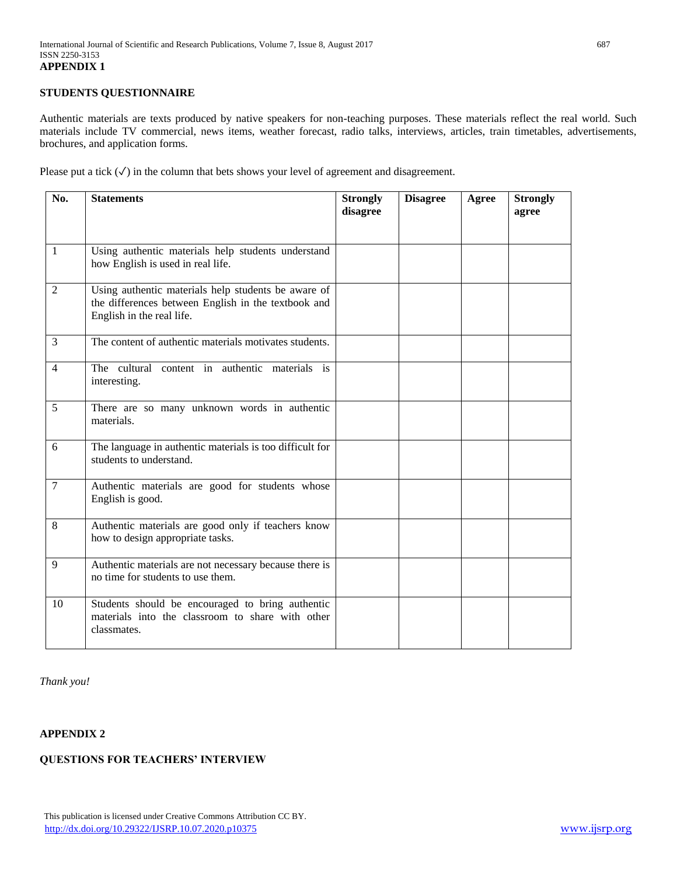## **STUDENTS QUESTIONNAIRE**

Authentic materials are texts produced by native speakers for non-teaching purposes. These materials reflect the real world. Such materials include TV commercial, news items, weather forecast, radio talks, interviews, articles, train timetables, advertisements, brochures, and application forms.

Please put a tick  $(\checkmark)$  in the column that bets shows your level of agreement and disagreement.

| No.            | <b>Statements</b>                                                                                                                       | <b>Strongly</b><br>disagree | <b>Disagree</b> | Agree | <b>Strongly</b><br>agree |
|----------------|-----------------------------------------------------------------------------------------------------------------------------------------|-----------------------------|-----------------|-------|--------------------------|
| $\mathbf{1}$   | Using authentic materials help students understand<br>how English is used in real life.                                                 |                             |                 |       |                          |
| 2              | Using authentic materials help students be aware of<br>the differences between English in the textbook and<br>English in the real life. |                             |                 |       |                          |
| 3              | The content of authentic materials motivates students.                                                                                  |                             |                 |       |                          |
| $\overline{4}$ | The cultural content in authentic materials is<br>interesting.                                                                          |                             |                 |       |                          |
| 5              | There are so many unknown words in authentic<br>materials.                                                                              |                             |                 |       |                          |
| 6              | The language in authentic materials is too difficult for<br>students to understand.                                                     |                             |                 |       |                          |
| 7              | Authentic materials are good for students whose<br>English is good.                                                                     |                             |                 |       |                          |
| 8              | Authentic materials are good only if teachers know<br>how to design appropriate tasks.                                                  |                             |                 |       |                          |
| 9              | Authentic materials are not necessary because there is<br>no time for students to use them.                                             |                             |                 |       |                          |
| 10             | Students should be encouraged to bring authentic<br>materials into the classroom to share with other<br>classmates.                     |                             |                 |       |                          |

*Thank you!*

## **APPENDIX 2**

# **QUESTIONS FOR TEACHERS' INTERVIEW**